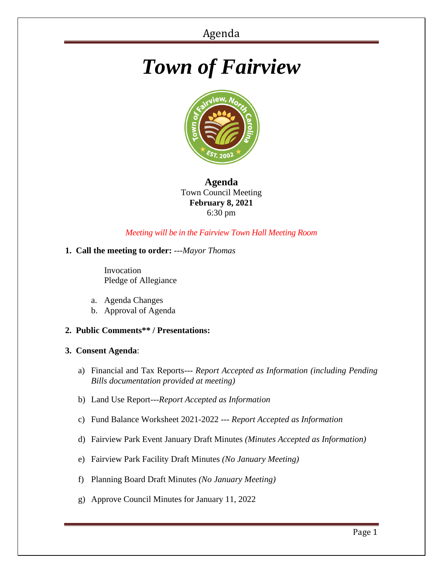# *Town of Fairview*



# **Agenda** Town Council Meeting **February 8, 2021** 6:30 pm

# *Meeting will be in the Fairview Town Hall Meeting Room*

# **1. Call the meeting to order:** *---Mayor Thomas*

 Invocation Pledge of Allegiance

- a. Agenda Changes
- b. Approval of Agenda
- **2. Public Comments\*\* / Presentations:**

### **3. Consent Agenda**:

- a) Financial and Tax Reports--- *Report Accepted as Information (including Pending Bills documentation provided at meeting)*
- b) Land Use Report---*Report Accepted as Information*
- c) Fund Balance Worksheet 2021-2022 --- *Report Accepted as Information*
- d) Fairview Park Event January Draft Minutes *(Minutes Accepted as Information)*
- e) Fairview Park Facility Draft Minutes *(No January Meeting)*
- f) Planning Board Draft Minutes *(No January Meeting)*
- g) Approve Council Minutes for January 11, 2022